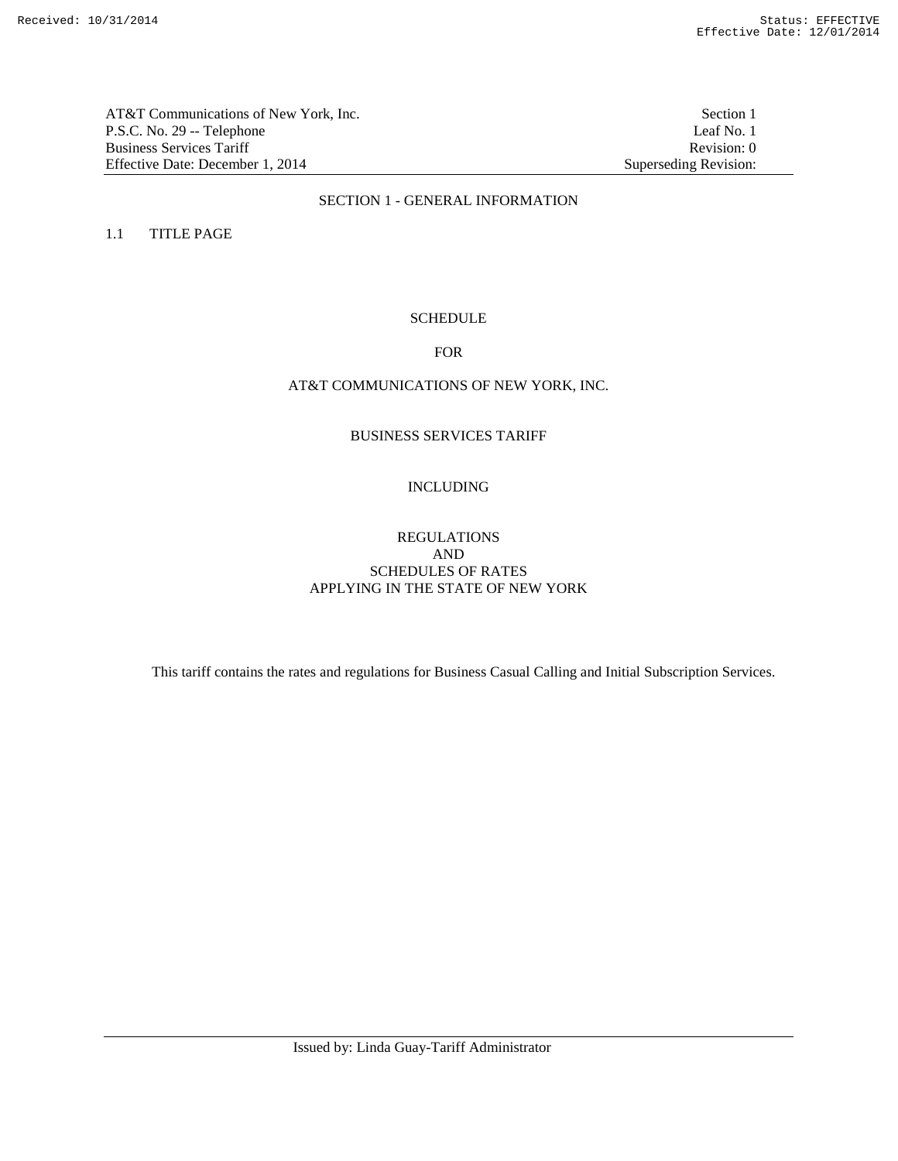AT&T Communications of New York, Inc.<br>
P.S.C. No. 29 -- Telephone<br>
Leaf No. 1 P.S.C. No. 29 -- Telephone Business Services Tariff Revision: 0<br>
Effective Date: December 1, 2014 Superseding Revision: 0 Effective Date: December 1, 2014

### SECTION 1 - GENERAL INFORMATION

1.1 TITLE PAGE

## **SCHEDULE**

#### FOR

## AT&T COMMUNICATIONS OF NEW YORK, INC.

## BUSINESS SERVICES TARIFF

### INCLUDING

## REGULATIONS AND SCHEDULES OF RATES APPLYING IN THE STATE OF NEW YORK

This tariff contains the rates and regulations for Business Casual Calling and Initial Subscription Services.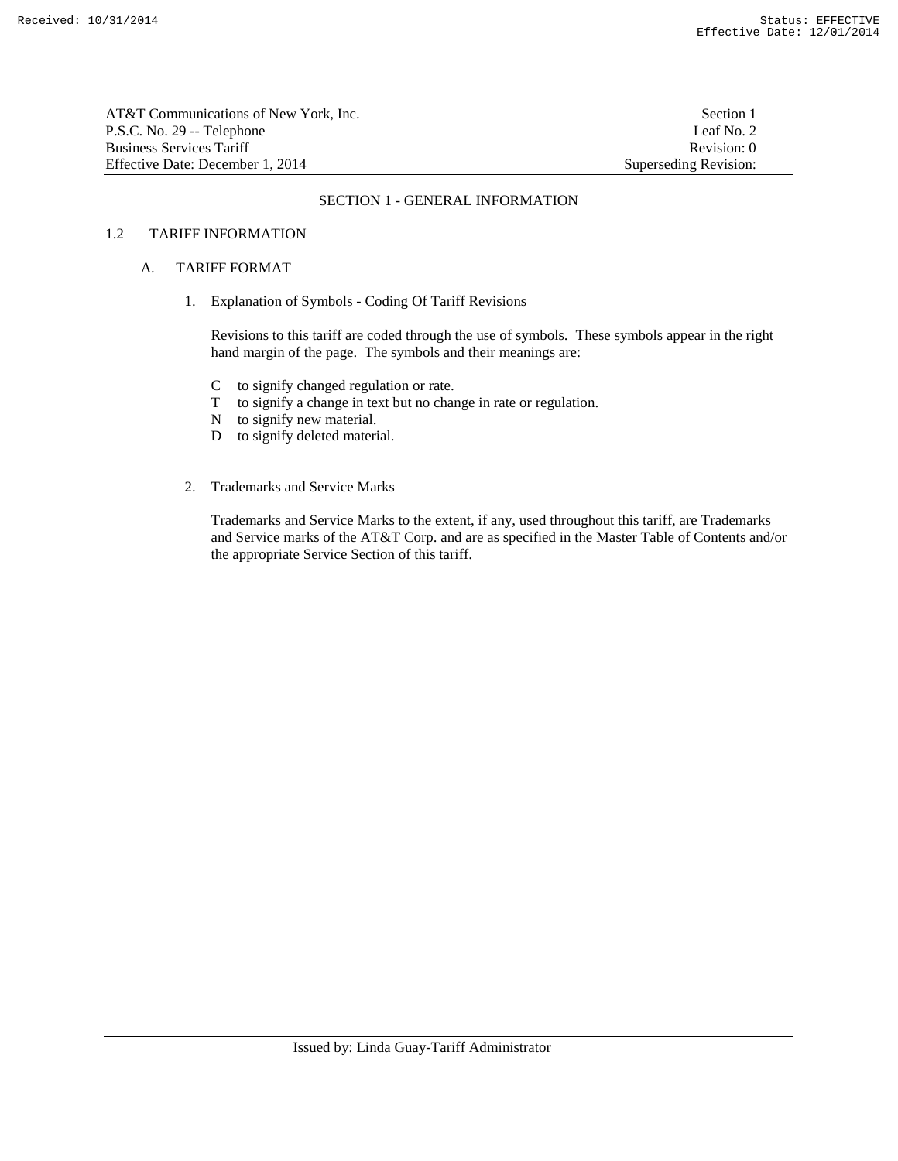| AT&T Communications of New York. Inc. | Section 1             |
|---------------------------------------|-----------------------|
| P.S.C. No. 29 -- Telephone            | Leaf No. 2            |
| Business Services Tariff              | Revision: 0           |
| Effective Date: December 1, 2014      | Superseding Revision: |

#### SECTION 1 - GENERAL INFORMATION

## 1.2 TARIFF INFORMATION

#### A. TARIFF FORMAT

1. Explanation of Symbols - Coding Of Tariff Revisions

 Revisions to this tariff are coded through the use of symbols. These symbols appear in the right hand margin of the page. The symbols and their meanings are:

- C to signify changed regulation or rate.
- T to signify a change in text but no change in rate or regulation.
- N to signify new material.
- D to signify deleted material.
- 2. Trademarks and Service Marks

 Trademarks and Service Marks to the extent, if any, used throughout this tariff, are Trademarks and Service marks of the AT&T Corp. and are as specified in the Master Table of Contents and/or the appropriate Service Section of this tariff.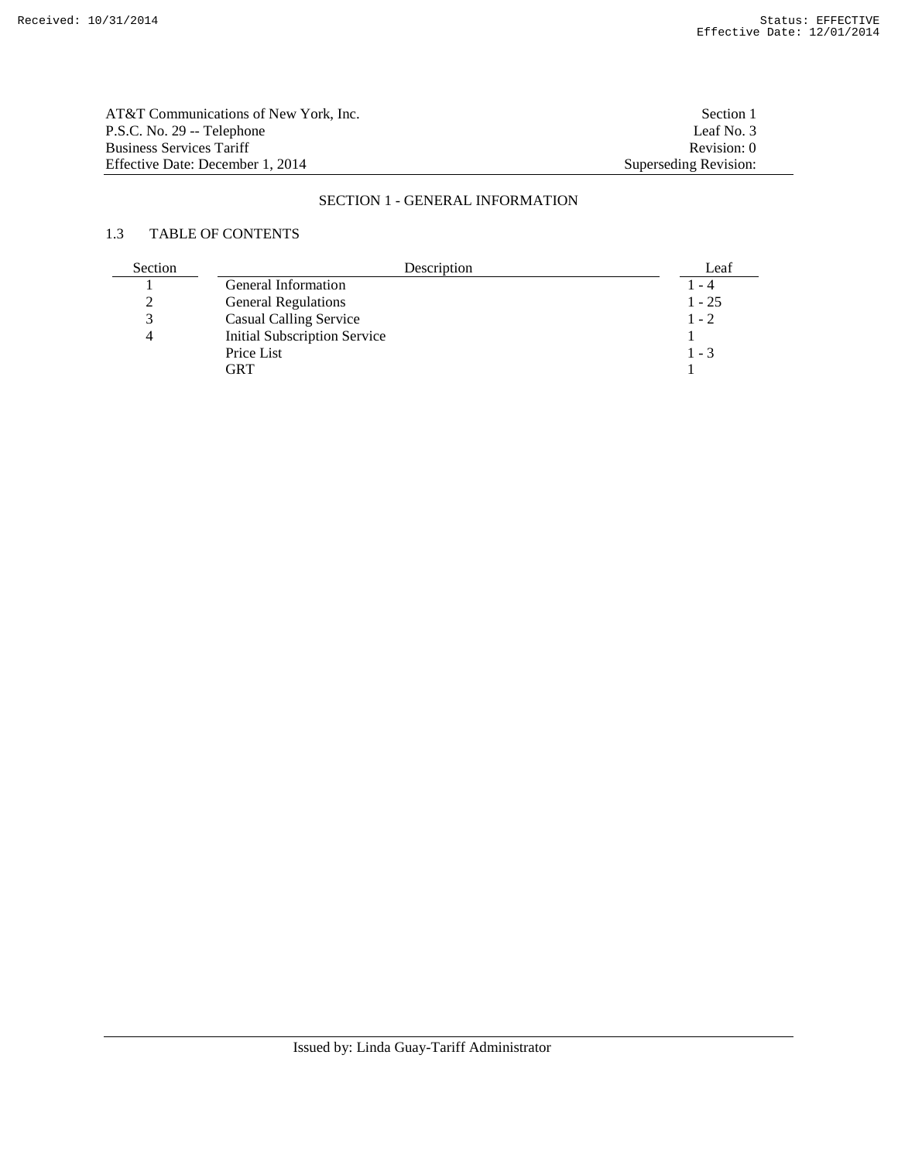| AT&T Communications of New York. Inc. | Section 1             |
|---------------------------------------|-----------------------|
| P.S.C. No. 29 -- Telephone            | Leaf No. 3            |
| <b>Business Services Tariff</b>       | Revision: 0           |
| Effective Date: December 1, 2014      | Superseding Revision: |

# SECTION 1 - GENERAL INFORMATION

# 1.3 TABLE OF CONTENTS

| Section | Description                         | Leaf     |
|---------|-------------------------------------|----------|
|         | General Information                 | l - 4    |
|         | <b>General Regulations</b>          | $1 - 25$ |
|         | <b>Casual Calling Service</b>       | $1 - 2$  |
|         | <b>Initial Subscription Service</b> |          |
|         | Price List                          | $1 - 3$  |
|         | GRT                                 |          |